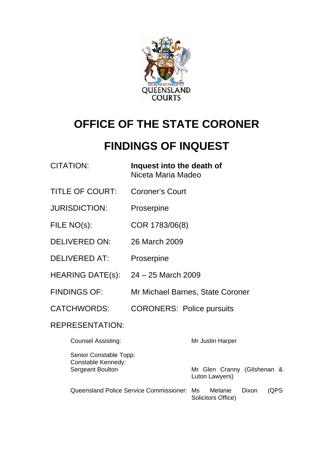

# **OFFICE OF THE STATE CORONER**

# **FINDINGS OF INQUEST**

| <b>CITATION:</b>                                                 | Inquest into the death of<br>Niceta Maria Madeo |                                                      |
|------------------------------------------------------------------|-------------------------------------------------|------------------------------------------------------|
| <b>TITLE OF COURT:</b>                                           | <b>Coroner's Court</b>                          |                                                      |
| <b>JURISDICTION:</b>                                             | Proserpine                                      |                                                      |
| FILE NO(s):                                                      | COR 1783/06(8)                                  |                                                      |
| <b>DELIVERED ON:</b>                                             | 26 March 2009                                   |                                                      |
| <b>DELIVERED AT:</b>                                             | Proserpine                                      |                                                      |
| HEARING DATE(s):                                                 | $24 - 25$ March 2009                            |                                                      |
| <b>FINDINGS OF:</b>                                              |                                                 | Mr Michael Barnes, State Coroner                     |
| <b>CATCHWORDS:</b>                                               | <b>CORONERS: Police pursuits</b>                |                                                      |
| <b>REPRESENTATION:</b>                                           |                                                 |                                                      |
| <b>Counsel Assisting:</b>                                        |                                                 | Mr Justin Harper                                     |
| Senior Constable Topp:<br>Constable Kennedy:<br>Sergeant Boulton |                                                 | Mr Glen Cranny (Gilshenan &<br>Luton Lawyers)        |
| Queensland Police Service Commissioner:                          |                                                 | Melanie<br>Dixon<br>(QPS<br>Ms<br>Solicitors Office) |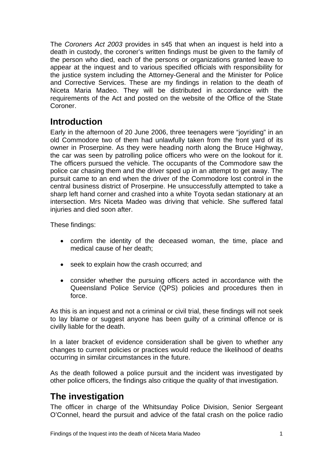<span id="page-2-0"></span>The *Coroners Act 2003* provides in s45 that when an inquest is held into a death in custody, the coroner's written findings must be given to the family of the person who died, each of the persons or organizations granted leave to appear at the inquest and to various specified officials with responsibility for the justice system including the Attorney-General and the Minister for Police and Corrective Services. These are my findings in relation to the death of Niceta Maria Madeo. They will be distributed in accordance with the requirements of the Act and posted on the website of the Office of the State Coroner.

## **Introduction**

Early in the afternoon of 20 June 2006, three teenagers were "joyriding" in an old Commodore two of them had unlawfully taken from the front yard of its owner in Proserpine. As they were heading north along the Bruce Highway, the car was seen by patrolling police officers who were on the lookout for it. The officers pursued the vehicle. The occupants of the Commodore saw the police car chasing them and the driver sped up in an attempt to get away. The pursuit came to an end when the driver of the Commodore lost control in the central business district of Proserpine. He unsuccessfully attempted to take a sharp left hand corner and crashed into a white Toyota sedan stationary at an intersection. Mrs Niceta Madeo was driving that vehicle. She suffered fatal injuries and died soon after.

These findings:

- confirm the identity of the deceased woman, the time, place and medical cause of her death;
- seek to explain how the crash occurred; and
- consider whether the pursuing officers acted in accordance with the Queensland Police Service (QPS) policies and procedures then in force.

As this is an inquest and not a criminal or civil trial, these findings will not seek to lay blame or suggest anyone has been guilty of a criminal offence or is civilly liable for the death.

In a later bracket of evidence consideration shall be given to whether any changes to current policies or practices would reduce the likelihood of deaths occurring in similar circumstances in the future.

As the death followed a police pursuit and the incident was investigated by other police officers, the findings also critique the quality of that investigation.

## **The investigation**

The officer in charge of the Whitsunday Police Division, Senior Sergeant O'Connel, heard the pursuit and advice of the fatal crash on the police radio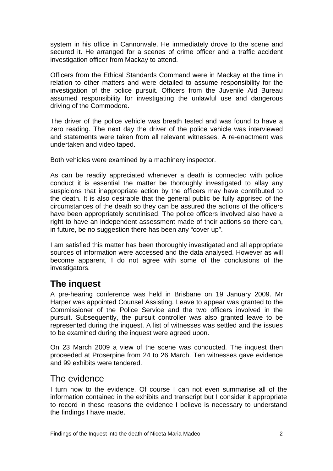<span id="page-3-0"></span>system in his office in Cannonvale. He immediately drove to the scene and secured it. He arranged for a scenes of crime officer and a traffic accident investigation officer from Mackay to attend.

Officers from the Ethical Standards Command were in Mackay at the time in relation to other matters and were detailed to assume responsibility for the investigation of the police pursuit. Officers from the Juvenile Aid Bureau assumed responsibility for investigating the unlawful use and dangerous driving of the Commodore.

The driver of the police vehicle was breath tested and was found to have a zero reading. The next day the driver of the police vehicle was interviewed and statements were taken from all relevant witnesses. A re-enactment was undertaken and video taped.

Both vehicles were examined by a machinery inspector.

As can be readily appreciated whenever a death is connected with police conduct it is essential the matter be thoroughly investigated to allay any suspicions that inappropriate action by the officers may have contributed to the death. It is also desirable that the general public be fully apprised of the circumstances of the death so they can be assured the actions of the officers have been appropriately scrutinised. The police officers involved also have a right to have an independent assessment made of their actions so there can, in future, be no suggestion there has been any "cover up".

I am satisfied this matter has been thoroughly investigated and all appropriate sources of information were accessed and the data analysed. However as will become apparent, I do not agree with some of the conclusions of the investigators.

## **The inquest**

A pre-hearing conference was held in Brisbane on 19 January 2009. Mr Harper was appointed Counsel Assisting. Leave to appear was granted to the Commissioner of the Police Service and the two officers involved in the pursuit. Subsequently, the pursuit controller was also granted leave to be represented during the inquest. A list of witnesses was settled and the issues to be examined during the inquest were agreed upon.

On 23 March 2009 a view of the scene was conducted. The inquest then proceeded at Proserpine from 24 to 26 March. Ten witnesses gave evidence and 99 exhibits were tendered.

## The evidence

I turn now to the evidence. Of course I can not even summarise all of the information contained in the exhibits and transcript but I consider it appropriate to record in these reasons the evidence I believe is necessary to understand the findings I have made.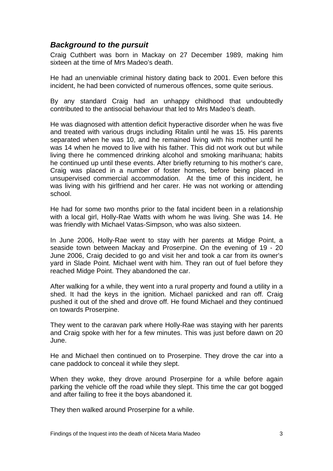## <span id="page-4-0"></span>*Background to the pursuit*

Craig Cuthbert was born in Mackay on 27 December 1989, making him sixteen at the time of Mrs Madeo's death.

He had an unenviable criminal history dating back to 2001. Even before this incident, he had been convicted of numerous offences, some quite serious.

By any standard Craig had an unhappy childhood that undoubtedly contributed to the antisocial behaviour that led to Mrs Madeo's death.

He was diagnosed with attention deficit hyperactive disorder when he was five and treated with various drugs including Ritalin until he was 15. His parents separated when he was 10, and he remained living with his mother until he was 14 when he moved to live with his father. This did not work out but while living there he commenced drinking alcohol and smoking marihuana; habits he continued up until these events. After briefly returning to his mother's care, Craig was placed in a number of foster homes, before being placed in unsupervised commercial accommodation. At the time of this incident, he was living with his girlfriend and her carer. He was not working or attending school.

He had for some two months prior to the fatal incident been in a relationship with a local girl, Holly-Rae Watts with whom he was living. She was 14. He was friendly with Michael Vatas-Simpson, who was also sixteen.

In June 2006, Holly-Rae went to stay with her parents at Midge Point, a seaside town between Mackay and Proserpine. On the evening of 19 - 20 June 2006, Craig decided to go and visit her and took a car from its owner's yard in Slade Point. Michael went with him. They ran out of fuel before they reached Midge Point. They abandoned the car.

After walking for a while, they went into a rural property and found a utility in a shed. It had the keys in the ignition. Michael panicked and ran off. Craig pushed it out of the shed and drove off. He found Michael and they continued on towards Proserpine.

They went to the caravan park where Holly-Rae was staying with her parents and Craig spoke with her for a few minutes. This was just before dawn on 20 June.

He and Michael then continued on to Proserpine. They drove the car into a cane paddock to conceal it while they slept.

When they woke, they drove around Proserpine for a while before again parking the vehicle off the road while they slept. This time the car got bogged and after failing to free it the boys abandoned it.

They then walked around Proserpine for a while.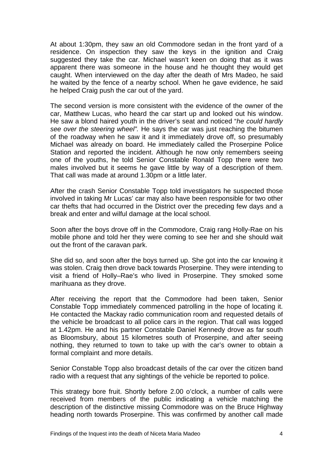At about 1:30pm, they saw an old Commodore sedan in the front yard of a residence. On inspection they saw the keys in the ignition and Craig suggested they take the car. Michael wasn't keen on doing that as it was apparent there was someone in the house and he thought they would get caught. When interviewed on the day after the death of Mrs Madeo, he said he waited by the fence of a nearby school. When he gave evidence, he said he helped Craig push the car out of the yard.

The second version is more consistent with the evidence of the owner of the car, Matthew Lucas, who heard the car start up and looked out his window. He saw a blond haired youth in the driver's seat and noticed "*he could hardly see over the steering wheel".* He says the car was just reaching the bitumen of the roadway when he saw it and it immediately drove off, so presumably Michael was already on board. He immediately called the Proserpine Police Station and reported the incident. Although he now only remembers seeing one of the youths, he told Senior Constable Ronald Topp there were two males involved but it seems he gave little by way of a description of them. That call was made at around 1.30pm or a little later.

After the crash Senior Constable Topp told investigators he suspected those involved in taking Mr Lucas' car may also have been responsible for two other car thefts that had occurred in the District over the preceding few days and a break and enter and wilful damage at the local school.

Soon after the boys drove off in the Commodore, Craig rang Holly-Rae on his mobile phone and told her they were coming to see her and she should wait out the front of the caravan park.

She did so, and soon after the boys turned up. She got into the car knowing it was stolen. Craig then drove back towards Proserpine. They were intending to visit a friend of Holly–Rae's who lived in Proserpine. They smoked some marihuana as they drove.

After receiving the report that the Commodore had been taken, Senior Constable Topp immediately commenced patrolling in the hope of locating it. He contacted the Mackay radio communication room and requested details of the vehicle be broadcast to all police cars in the region. That call was logged at 1.42pm. He and his partner Constable Daniel Kennedy drove as far south as Bloomsbury, about 15 kilometres south of Proserpine, and after seeing nothing, they returned to town to take up with the car's owner to obtain a formal complaint and more details.

Senior Constable Topp also broadcast details of the car over the citizen band radio with a request that any sightings of the vehicle be reported to police.

This strategy bore fruit. Shortly before 2.00 o'clock, a number of calls were received from members of the public indicating a vehicle matching the description of the distinctive missing Commodore was on the Bruce Highway heading north towards Proserpine. This was confirmed by another call made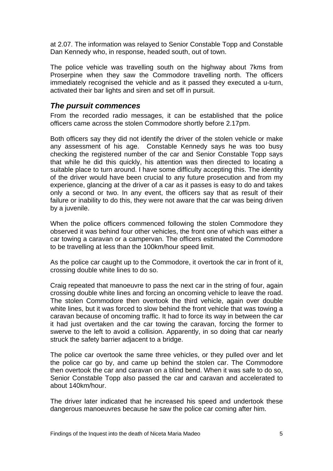<span id="page-6-0"></span>at 2.07. The information was relayed to Senior Constable Topp and Constable Dan Kennedy who, in response, headed south, out of town.

The police vehicle was travelling south on the highway about 7kms from Proserpine when they saw the Commodore travelling north. The officers immediately recognised the vehicle and as it passed they executed a u-turn, activated their bar lights and siren and set off in pursuit.

## *The pursuit commences*

From the recorded radio messages, it can be established that the police officers came across the stolen Commodore shortly before 2.17pm.

Both officers say they did not identify the driver of the stolen vehicle or make any assessment of his age. Constable Kennedy says he was too busy checking the registered number of the car and Senior Constable Topp says that while he did this quickly, his attention was then directed to locating a suitable place to turn around. I have some difficulty accepting this. The identity of the driver would have been crucial to any future prosecution and from my experience, glancing at the driver of a car as it passes is easy to do and takes only a second or two. In any event, the officers say that as result of their failure or inability to do this, they were not aware that the car was being driven by a juvenile.

When the police officers commenced following the stolen Commodore they observed it was behind four other vehicles, the front one of which was either a car towing a caravan or a campervan. The officers estimated the Commodore to be travelling at less than the 100km/hour speed limit.

As the police car caught up to the Commodore, it overtook the car in front of it, crossing double white lines to do so.

Craig repeated that manoeuvre to pass the next car in the string of four, again crossing double white lines and forcing an oncoming vehicle to leave the road. The stolen Commodore then overtook the third vehicle, again over double white lines, but it was forced to slow behind the front vehicle that was towing a caravan because of oncoming traffic. It had to force its way in between the car it had just overtaken and the car towing the caravan, forcing the former to swerve to the left to avoid a collision. Apparently, in so doing that car nearly struck the safety barrier adjacent to a bridge.

The police car overtook the same three vehicles, or they pulled over and let the police car go by, and came up behind the stolen car. The Commodore then overtook the car and caravan on a blind bend. When it was safe to do so, Senior Constable Topp also passed the car and caravan and accelerated to about 140km/hour.

The driver later indicated that he increased his speed and undertook these dangerous manoeuvres because he saw the police car coming after him.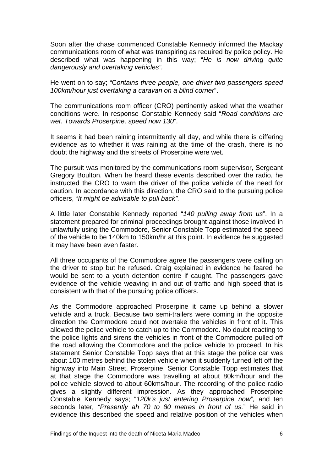Soon after the chase commenced Constable Kennedy informed the Mackay communications room of what was transpiring as required by police policy. He described what was happening in this way; "*He is now driving quite dangerously and overtaking vehicles".*

He went on to say; "C*ontains three people, one driver two passengers speed 100km/hour just overtaking a caravan on a blind corner*".

The communications room officer (CRO) pertinently asked what the weather conditions were. In response Constable Kennedy said "*Road conditions are wet. Towards Proserpine, speed now 130*".

It seems it had been raining intermittently all day, and while there is differing evidence as to whether it was raining at the time of the crash, there is no doubt the highway and the streets of Proserpine were wet.

The pursuit was monitored by the communications room supervisor, Sergeant Gregory Boulton. When he heard these events described over the radio, he instructed the CRO to warn the driver of the police vehicle of the need for caution. In accordance with this direction, the CRO said to the pursuing police officers, "*It might be advisable to pull back".*

A little later Constable Kennedy reported "*140 pulling away from us*". In a statement prepared for criminal proceedings brought against those involved in unlawfully using the Commodore, Senior Constable Topp estimated the speed of the vehicle to be 140km to 150km/hr at this point. In evidence he suggested it may have been even faster.

All three occupants of the Commodore agree the passengers were calling on the driver to stop but he refused. Craig explained in evidence he feared he would be sent to a youth detention centre if caught. The passengers gave evidence of the vehicle weaving in and out of traffic and high speed that is consistent with that of the pursuing police officers.

As the Commodore approached Proserpine it came up behind a slower vehicle and a truck. Because two semi-trailers were coming in the opposite direction the Commodore could not overtake the vehicles in front of it. This allowed the police vehicle to catch up to the Commodore. No doubt reacting to the police lights and sirens the vehicles in front of the Commodore pulled off the road allowing the Commodore and the police vehicle to proceed. In his statement Senior Constable Topp says that at this stage the police car was about 100 metres behind the stolen vehicle when it suddenly turned left off the highway into Main Street, Proserpine. Senior Constable Topp estimates that at that stage the Commodore was travelling at about 80km/hour and the police vehicle slowed to about 60kms/hour. The recording of the police radio gives a slightly different impression. As they approached Proserpine Constable Kennedy says; "*120k's just entering Proserpine now",* and ten seconds later*, "Presently ah 70 to 80 metres in front of us.*" He said in evidence this described the speed and relative position of the vehicles when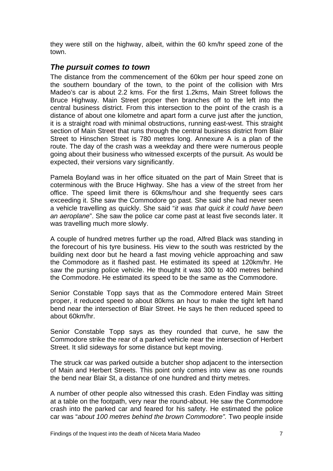<span id="page-8-0"></span>they were still on the highway, albeit, within the 60 km/hr speed zone of the town.

## *The pursuit comes to town*

The distance from the commencement of the 60km per hour speed zone on the southern boundary of the town, to the point of the collision with Mrs Madeo's car is about 2.2 kms. For the first 1.2kms, Main Street follows the Bruce Highway. Main Street proper then branches off to the left into the central business district. From this intersection to the point of the crash is a distance of about one kilometre and apart form a curve just after the junction, it is a straight road with minimal obstructions, running east-west. This straight section of Main Street that runs through the central business district from Blair Street to Hinschen Street is 780 metres long. Annexure A is a plan of the route. The day of the crash was a weekday and there were numerous people going about their business who witnessed excerpts of the pursuit. As would be expected, their versions vary significantly.

Pamela Boyland was in her office situated on the part of Main Street that is coterminous with the Bruce Highway. She has a view of the street from her office. The speed limit there is 60kms/hour and she frequently sees cars exceeding it. She saw the Commodore go past. She said she had never seen a vehicle travelling as quickly. She said "*it was that quick it could have been an aeroplane*". She saw the police car come past at least five seconds later. It was travelling much more slowly.

A couple of hundred metres further up the road, Alfred Black was standing in the forecourt of his tyre business. His view to the south was restricted by the building next door but he heard a fast moving vehicle approaching and saw the Commodore as it flashed past. He estimated its speed at 120km/hr. He saw the pursing police vehicle. He thought it was 300 to 400 metres behind the Commodore. He estimated its speed to be the same as the Commodore.

Senior Constable Topp says that as the Commodore entered Main Street proper, it reduced speed to about 80kms an hour to make the tight left hand bend near the intersection of Blair Street. He says he then reduced speed to about 60km/hr.

Senior Constable Topp says as they rounded that curve, he saw the Commodore strike the rear of a parked vehicle near the intersection of Herbert Street. It slid sideways for some distance but kept moving.

The struck car was parked outside a butcher shop adjacent to the intersection of Main and Herbert Streets. This point only comes into view as one rounds the bend near Blair St, a distance of one hundred and thirty metres.

A number of other people also witnessed this crash. Eden Findlay was sitting at a table on the footpath, very near the round-about. He saw the Commodore crash into the parked car and feared for his safety. He estimated the police car was "*about 100 metres behind the brown Commodore".* Two people inside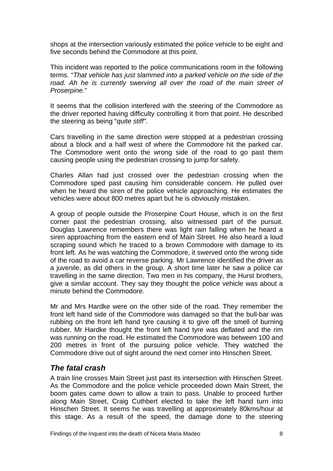<span id="page-9-0"></span>shops at the intersection variously estimated the police vehicle to be eight and five seconds behind the Commodore at this point.

This incident was reported to the police communications room in the following terms. "*That vehicle has just slammed into a parked vehicle on the side of the*  road. Ah he is currently swerving all over the road of the main street of *Proserpine.*"

It seems that the collision interfered with the steering of the Commodore as the driver reported having difficulty controlling it from that point. He described the steering as being "*quite stiff".*

Cars travelling in the same direction were stopped at a pedestrian crossing about a block and a half west of where the Commodore hit the parked car. The Commodore went onto the wrong side of the road to go past them causing people using the pedestrian crossing to jump for safety.

Charles Allan had just crossed over the pedestrian crossing when the Commodore sped past causing him considerable concern. He pulled over when he heard the siren of the police vehicle approaching. He estimates the vehicles were about 800 metres apart but he is obviously mistaken.

A group of people outside the Proserpine Court House, which is on the first corner past the pedestrian crossing, also witnessed part of the pursuit. Douglas Lawrence remembers there was light rain falling when he heard a siren approaching from the eastern end of Main Street. He also heard a loud scraping sound which he traced to a brown Commodore with damage to its front left. As he was watching the Commodore, it swerved onto the wrong side of the road to avoid a car reverse parking. Mr Lawrence identified the driver as a juvenile, as did others in the group. A short time later he saw a police car travelling in the same direction. Two men in his company, the Hurst brothers, give a similar account. They say they thought the police vehicle was about a minute behind the Commodore.

Mr and Mrs Hardke were on the other side of the road. They remember the front left hand side of the Commodore was damaged so that the bull-bar was rubbing on the front left hand tyre causing it to give off the smell of burning rubber. Mr Hardke thought the front left hand tyre was deflated and the rim was running on the road. He estimated the Commodore was between 100 and 200 metres in front of the pursuing police vehicle. They watched the Commodore drive out of sight around the next corner into Hinschen Street.

## *The fatal crash*

A train line crosses Main Street just past its intersection with Hinschen Street. As the Commodore and the police vehicle proceeded down Main Street, the boom gates came down to allow a train to pass. Unable to proceed further along Main Street, Craig Cuthbert elected to take the left hand turn into Hinschen Street. It seems he was travelling at approximately 80kms/hour at this stage. As a result of the speed, the damage done to the steering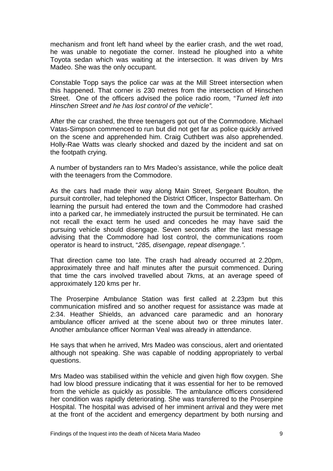mechanism and front left hand wheel by the earlier crash, and the wet road, he was unable to negotiate the corner. Instead he ploughed into a white Toyota sedan which was waiting at the intersection. It was driven by Mrs Madeo. She was the only occupant.

Constable Topp says the police car was at the Mill Street intersection when this happened. That corner is 230 metres from the intersection of Hinschen Street. One of the officers advised the police radio room, "*Turned left into Hinschen Street and he has lost control of the vehicle".* 

After the car crashed, the three teenagers got out of the Commodore. Michael Vatas-Simpson commenced to run but did not get far as police quickly arrived on the scene and apprehended him. Craig Cuthbert was also apprehended. Holly-Rae Watts was clearly shocked and dazed by the incident and sat on the footpath crying.

A number of bystanders ran to Mrs Madeo's assistance, while the police dealt with the teenagers from the Commodore.

As the cars had made their way along Main Street, Sergeant Boulton, the pursuit controller, had telephoned the District Officer, Inspector Batterham. On learning the pursuit had entered the town and the Commodore had crashed into a parked car, he immediately instructed the pursuit be terminated. He can not recall the exact term he used and concedes he may have said the pursuing vehicle should disengage. Seven seconds after the last message advising that the Commodore had lost control, the communications room operator is heard to instruct, "*285, disengage, repeat disengage.".*

That direction came too late. The crash had already occurred at 2.20pm, approximately three and half minutes after the pursuit commenced. During that time the cars involved travelled about 7kms, at an average speed of approximately 120 kms per hr.

The Proserpine Ambulance Station was first called at 2.23pm but this communication misfired and so another request for assistance was made at 2:34. Heather Shields, an advanced care paramedic and an honorary ambulance officer arrived at the scene about two or three minutes later. Another ambulance officer Norman Veal was already in attendance.

He says that when he arrived, Mrs Madeo was conscious, alert and orientated although not speaking. She was capable of nodding appropriately to verbal questions.

Mrs Madeo was stabilised within the vehicle and given high flow oxygen. She had low blood pressure indicating that it was essential for her to be removed from the vehicle as quickly as possible. The ambulance officers considered her condition was rapidly deteriorating. She was transferred to the Proserpine Hospital. The hospital was advised of her imminent arrival and they were met at the front of the accident and emergency department by both nursing and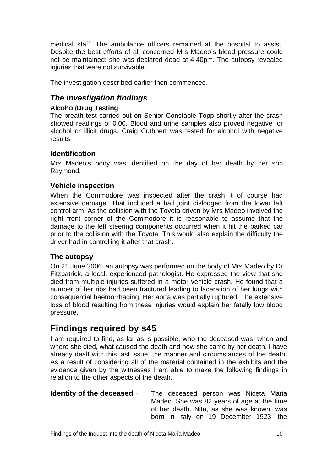<span id="page-11-0"></span>medical staff. The ambulance officers remained at the hospital to assist. Despite the best efforts of all concerned Mrs Madeo's blood pressure could not be maintained: she was declared dead at 4:40pm. The autopsy revealed injuries that were not survivable.

The investigation described earlier then commenced.

## *The investigation findings*

### **Alcohol/Drug Testing**

The breath test carried out on Senior Constable Topp shortly after the crash showed readings of 0.00. Blood and urine samples also proved negative for alcohol or illicit drugs. Craig Cuthbert was tested for alcohol with negative results.

## **Identification**

Mrs Madeo's body was identified on the day of her death by her son Raymond.

## **Vehicle inspection**

When the Commodore was inspected after the crash it of course had extensive damage. That included a ball joint dislodged from the lower left control arm. As the collision with the Toyota driven by Mrs Madeo involved the right front corner of the Commodore it is reasonable to assume that the damage to the left steering components occurred when it hit the parked car prior to the collision with the Toyota. This would also explain the difficulty the driver had in controlling it after that crash.

## **The autopsy**

On 21 June 2006, an autopsy was performed on the body of Mrs Madeo by Dr Fitzpatrick, a local, experienced pathologist. He expressed the view that she died from multiple injuries suffered in a motor vehicle crash. He found that a number of her ribs had been fractured leading to laceration of her lungs with consequential haemorrhaging. Her aorta was partially ruptured. The extensive loss of blood resulting from these injuries would explain her fatally low blood pressure.

## **Findings required by s45**

I am required to find, as far as is possible, who the deceased was, when and where she died, what caused the death and how she came by her death. I have already dealt with this last issue, the manner and circumstances of the death. As a result of considering all of the material contained in the exhibits and the evidence given by the witnesses I am able to make the following findings in relation to the other aspects of the death.

#### **Identity of the deceased** – The deceased person was Niceta Maria Madeo. She was 82 years of age at the time of her death. Nita, as she was known, was born in Italy on 19 December 1923; the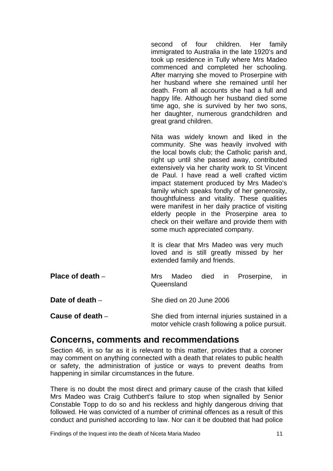<span id="page-12-0"></span>second of four children. Her family immigrated to Australia in the late 1920's and took up residence in Tully where Mrs Madeo commenced and completed her schooling. After marrying she moved to Proserpine with her husband where she remained until her death. From all accounts she had a full and happy life. Although her husband died some time ago, she is survived by her two sons, her daughter, numerous grandchildren and great grand children.

Nita was widely known and liked in the community. She was heavily involved with the local bowls club; the Catholic parish and, right up until she passed away, contributed extensively via her charity work to St Vincent de Paul. I have read a well crafted victim impact statement produced by Mrs Madeo's family which speaks fondly of her generosity, thoughtfulness and vitality. These qualities were manifest in her daily practice of visiting elderly people in the Proserpine area to check on their welfare and provide them with some much appreciated company.

It is clear that Mrs Madeo was very much loved and is still greatly missed by her extended family and friends.

| Place of death $-$ | Madeo died in Proserpine,<br>Mrs.<br>Queensland                                                   | <b>in</b> |  |
|--------------------|---------------------------------------------------------------------------------------------------|-----------|--|
| Date of death $-$  | She died on 20 June 2006                                                                          |           |  |
| Cause of death $-$ | She died from internal injuries sustained in a<br>motor vehicle crash following a police pursuit. |           |  |

## **Concerns, comments and recommendations**

Section 46, in so far as it is relevant to this matter, provides that a coroner may comment on anything connected with a death that relates to public health or safety, the administration of justice or ways to prevent deaths from happening in similar circumstances in the future.

There is no doubt the most direct and primary cause of the crash that killed Mrs Madeo was Craig Cuthbert's failure to stop when signalled by Senior Constable Topp to do so and his reckless and highly dangerous driving that followed. He was convicted of a number of criminal offences as a result of this conduct and punished according to law. Nor can it be doubted that had police

Findings of the Inquest into the death of Niceta Maria Madeo 11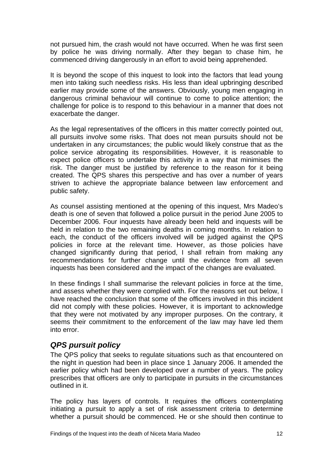<span id="page-13-0"></span>not pursued him, the crash would not have occurred. When he was first seen by police he was driving normally. After they began to chase him, he commenced driving dangerously in an effort to avoid being apprehended.

It is beyond the scope of this inquest to look into the factors that lead young men into taking such needless risks. His less than ideal upbringing described earlier may provide some of the answers. Obviously, young men engaging in dangerous criminal behaviour will continue to come to police attention; the challenge for police is to respond to this behaviour in a manner that does not exacerbate the danger.

As the legal representatives of the officers in this matter correctly pointed out, all pursuits involve some risks. That does not mean pursuits should not be undertaken in any circumstances; the public would likely construe that as the police service abrogating its responsibilities. However, it is reasonable to expect police officers to undertake this activity in a way that minimises the risk. The danger must be justified by reference to the reason for it being created. The QPS shares this perspective and has over a number of years striven to achieve the appropriate balance between law enforcement and public safety.

As counsel assisting mentioned at the opening of this inquest, Mrs Madeo's death is one of seven that followed a police pursuit in the period June 2005 to December 2006. Four inquests have already been held and inquests will be held in relation to the two remaining deaths in coming months. In relation to each, the conduct of the officers involved will be judged against the QPS policies in force at the relevant time. However, as those policies have changed significantly during that period, I shall refrain from making any recommendations for further change until the evidence from all seven inquests has been considered and the impact of the changes are evaluated.

In these findings I shall summarise the relevant policies in force at the time, and assess whether they were complied with. For the reasons set out below, I have reached the conclusion that some of the officers involved in this incident did not comply with these policies. However, it is important to acknowledge that they were not motivated by any improper purposes. On the contrary, it seems their commitment to the enforcement of the law may have led them into error.

## *QPS pursuit policy*

The QPS policy that seeks to regulate situations such as that encountered on the night in question had been in place since 1 January 2006. It amended the earlier policy which had been developed over a number of years. The policy prescribes that officers are only to participate in pursuits in the circumstances outlined in it.

The policy has layers of controls. It requires the officers contemplating initiating a pursuit to apply a set of risk assessment criteria to determine whether a pursuit should be commenced. He or she should then continue to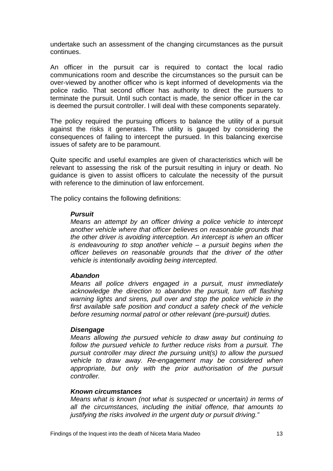undertake such an assessment of the changing circumstances as the pursuit continues.

An officer in the pursuit car is required to contact the local radio communications room and describe the circumstances so the pursuit can be over-viewed by another officer who is kept informed of developments via the police radio. That second officer has authority to direct the pursuers to terminate the pursuit. Until such contact is made, the senior officer in the car is deemed the pursuit controller. I will deal with these components separately.

The policy required the pursuing officers to balance the utility of a pursuit against the risks it generates. The utility is gauged by considering the consequences of failing to intercept the pursued. In this balancing exercise issues of safety are to be paramount.

Quite specific and useful examples are given of characteristics which will be relevant to assessing the risk of the pursuit resulting in injury or death. No guidance is given to assist officers to calculate the necessity of the pursuit with reference to the diminution of law enforcement.

The policy contains the following definitions:

#### *Pursuit*

*Means an attempt by an officer driving a police vehicle to intercept another vehicle where that officer believes on reasonable grounds that the other driver is avoiding interception. An intercept is when an officer is endeavouring to stop another vehicle – a pursuit begins when the officer believes on reasonable grounds that the driver of the other vehicle is intentionally avoiding being intercepted.* 

#### *Abandon*

*Means all police drivers engaged in a pursuit, must immediately acknowledge the direction to abandon the pursuit, turn off flashing warning lights and sirens, pull over and stop the police vehicle in the first available safe position and conduct a safety check of the vehicle before resuming normal patrol or other relevant (pre-pursuit) duties.* 

#### *Disengage*

*Means allowing the pursued vehicle to draw away but continuing to follow the pursued vehicle to further reduce risks from a pursuit. The pursuit controller may direct the pursuing unit(s) to allow the pursued vehicle to draw away. Re-engagement may be considered when appropriate, but only with the prior authorisation of the pursuit controller.* 

#### *Known circumstances*

*Means what is known (not what is suspected or uncertain) in terms of all the circumstances, including the initial offence, that amounts to justifying the risks involved in the urgent duty or pursuit driving."*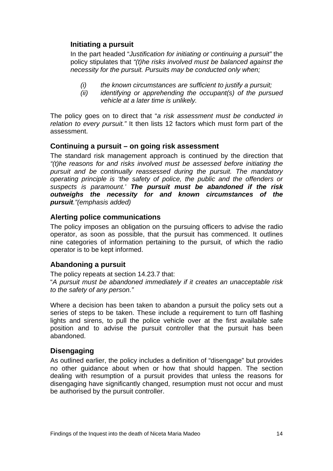## <span id="page-15-0"></span>**Initiating a pursuit**

In the part headed "*Justification for initiating or continuing a pursuit"* the policy stipulates that *"(t)he risks involved must be balanced against the necessity for the pursuit. Pursuits may be conducted only when;* 

- *(i) the known circumstances are sufficient to justify a pursuit;*
- *(ii) identifying or apprehending the occupant(s) of the pursued vehicle at a later time is unlikely.*

The policy goes on to direct that "*a risk assessment must be conducted in relation to every pursuit."* It then lists 12 factors which must form part of the assessment.

#### **Continuing a pursuit – on going risk assessment**

The standard risk management approach is continued by the direction that *"(t)he reasons for and risks involved must be assessed before initiating the pursuit and be continually reassessed during the pursuit. The mandatory operating principle is 'the safety of police, the public and the offenders or suspects is paramount.' The pursuit must be abandoned if the risk outweighs the necessity for and known circumstances of the pursuit."(emphasis added)* 

### **Alerting police communications**

The policy imposes an obligation on the pursuing officers to advise the radio operator, as soon as possible, that the pursuit has commenced. It outlines nine categories of information pertaining to the pursuit, of which the radio operator is to be kept informed.

## **Abandoning a pursuit**

The policy repeats at section 14.23.7 that:

"*A pursuit must be abandoned immediately if it creates an unacceptable risk to the safety of any person."* 

Where a decision has been taken to abandon a pursuit the policy sets out a series of steps to be taken. These include a requirement to turn off flashing lights and sirens, to pull the police vehicle over at the first available safe position and to advise the pursuit controller that the pursuit has been abandoned.

## **Disengaging**

As outlined earlier, the policy includes a definition of "disengage" but provides no other guidance about when or how that should happen. The section dealing with resumption of a pursuit provides that unless the reasons for disengaging have significantly changed, resumption must not occur and must be authorised by the pursuit controller.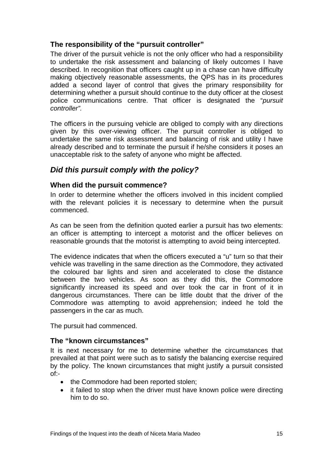## <span id="page-16-0"></span>**The responsibility of the "pursuit controller"**

The driver of the pursuit vehicle is not the only officer who had a responsibility to undertake the risk assessment and balancing of likely outcomes I have described. In recognition that officers caught up in a chase can have difficulty making objectively reasonable assessments, the QPS has in its procedures added a second layer of control that gives the primary responsibility for determining whether a pursuit should continue to the duty officer at the closest police communications centre. That officer is designated the "*pursuit controller".* 

The officers in the pursuing vehicle are obliged to comply with any directions given by this over-viewing officer. The pursuit controller is obliged to undertake the same risk assessment and balancing of risk and utility I have already described and to terminate the pursuit if he/she considers it poses an unacceptable risk to the safety of anyone who might be affected.

## *Did this pursuit comply with the policy?*

## **When did the pursuit commence?**

In order to determine whether the officers involved in this incident complied with the relevant policies it is necessary to determine when the pursuit commenced.

As can be seen from the definition quoted earlier a pursuit has two elements: an officer is attempting to intercept a motorist and the officer believes on reasonable grounds that the motorist is attempting to avoid being intercepted.

The evidence indicates that when the officers executed a "u" turn so that their vehicle was travelling in the same direction as the Commodore, they activated the coloured bar lights and siren and accelerated to close the distance between the two vehicles. As soon as they did this, the Commodore significantly increased its speed and over took the car in front of it in dangerous circumstances. There can be little doubt that the driver of the Commodore was attempting to avoid apprehension; indeed he told the passengers in the car as much.

The pursuit had commenced.

## **The "known circumstances"**

It is next necessary for me to determine whether the circumstances that prevailed at that point were such as to satisfy the balancing exercise required by the policy. The known circumstances that might justify a pursuit consisted  $of -$ 

- the Commodore had been reported stolen;
- it failed to stop when the driver must have known police were directing him to do so.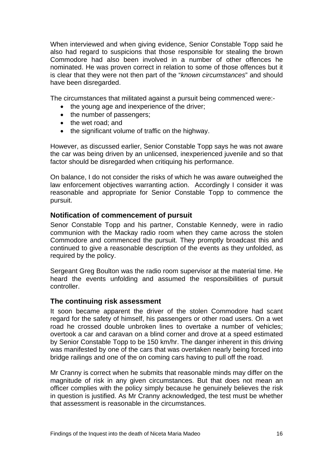<span id="page-17-0"></span>When interviewed and when giving evidence, Senior Constable Topp said he also had regard to suspicions that those responsible for stealing the brown Commodore had also been involved in a number of other offences he nominated. He was proven correct in relation to some of those offences but it is clear that they were not then part of the "*known circumstances*" and should have been disregarded.

The circumstances that militated against a pursuit being commenced were:-

- the young age and inexperience of the driver;
- the number of passengers;
- the wet road; and
- the significant volume of traffic on the highway.

However, as discussed earlier, Senior Constable Topp says he was not aware the car was being driven by an unlicensed, inexperienced juvenile and so that factor should be disregarded when critiquing his performance.

On balance, I do not consider the risks of which he was aware outweighed the law enforcement objectives warranting action. Accordingly I consider it was reasonable and appropriate for Senior Constable Topp to commence the pursuit.

## **Notification of commencement of pursuit**

Senor Constable Topp and his partner, Constable Kennedy, were in radio communion with the Mackay radio room when they came across the stolen Commodore and commenced the pursuit. They promptly broadcast this and continued to give a reasonable description of the events as they unfolded, as required by the policy.

Sergeant Greg Boulton was the radio room supervisor at the material time. He heard the events unfolding and assumed the responsibilities of pursuit controller.

## **The continuing risk assessment**

It soon became apparent the driver of the stolen Commodore had scant regard for the safety of himself, his passengers or other road users. On a wet road he crossed double unbroken lines to overtake a number of vehicles; overtook a car and caravan on a blind corner and drove at a speed estimated by Senior Constable Topp to be 150 km/hr. The danger inherent in this driving was manifested by one of the cars that was overtaken nearly being forced into bridge railings and one of the on coming cars having to pull off the road.

Mr Cranny is correct when he submits that reasonable minds may differ on the magnitude of risk in any given circumstances. But that does not mean an officer complies with the policy simply because he genuinely believes the risk in question is justified. As Mr Cranny acknowledged, the test must be whether that assessment is reasonable in the circumstances.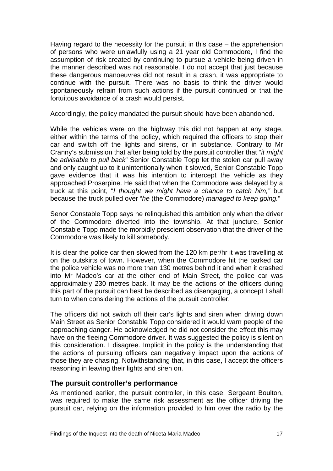<span id="page-18-0"></span>Having regard to the necessity for the pursuit in this case – the apprehension of persons who were unlawfully using a 21 year old Commodore, I find the assumption of risk created by continuing to pursue a vehicle being driven in the manner described was not reasonable. I do not accept that just because these dangerous manoeuvres did not result in a crash, it was appropriate to continue with the pursuit. There was no basis to think the driver would spontaneously refrain from such actions if the pursuit continued or that the fortuitous avoidance of a crash would persist.

Accordingly, the policy mandated the pursuit should have been abandoned.

While the vehicles were on the highway this did not happen at any stage, either within the terms of the policy, which required the officers to stop their car and switch off the lights and sirens, or in substance. Contrary to Mr Cranny's submission that after being told by the pursuit controller that "*it might be advisable to pull back*" Senior Constable Topp let the stolen car pull away and only caught up to it unintentionally when it slowed, Senior Constable Topp gave evidence that it was his intention to intercept the vehicle as they approached Proserpine. He said that when the Commodore was delayed by a truck at this point, "*I thought we might have a chance to catch him,"* but because the truck pulled over "*he* (the Commodore) *managed to keep going.*"

Senor Constable Topp says he relinquished this ambition only when the driver of the Commodore diverted into the township. At that juncture, Senior Constable Topp made the morbidly prescient observation that the driver of the Commodore was likely to kill somebody.

It is clear the police car then slowed from the 120 km per/hr it was travelling at on the outskirts of town. However, when the Commodore hit the parked car the police vehicle was no more than 130 metres behind it and when it crashed into Mr Madeo's car at the other end of Main Street, the police car was approximately 230 metres back. It may be the actions of the officers during this part of the pursuit can best be described as disengaging, a concept I shall turn to when considering the actions of the pursuit controller.

The officers did not switch off their car's lights and siren when driving down Main Street as Senior Constable Topp considered it would warn people of the approaching danger. He acknowledged he did not consider the effect this may have on the fleeing Commodore driver. It was suggested the policy is silent on this consideration. I disagree. Implicit in the policy is the understanding that the actions of pursuing officers can negatively impact upon the actions of those they are chasing. Notwithstanding that, in this case, I accept the officers reasoning in leaving their lights and siren on.

#### **The pursuit controller's performance**

As mentioned earlier, the pursuit controller, in this case, Sergeant Boulton, was required to make the same risk assessment as the officer driving the pursuit car, relying on the information provided to him over the radio by the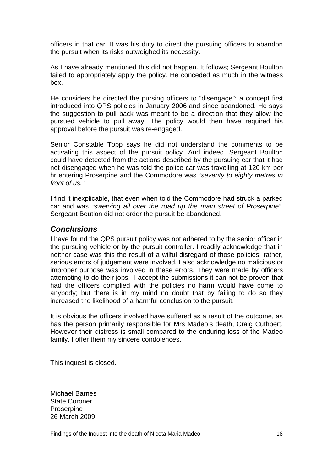<span id="page-19-0"></span>officers in that car. It was his duty to direct the pursuing officers to abandon the pursuit when its risks outweighed its necessity.

As I have already mentioned this did not happen. It follows; Sergeant Boulton failed to appropriately apply the policy. He conceded as much in the witness box.

He considers he directed the pursing officers to "disengage"; a concept first introduced into QPS policies in January 2006 and since abandoned. He says the suggestion to pull back was meant to be a direction that they allow the pursued vehicle to pull away. The policy would then have required his approval before the pursuit was re-engaged.

Senior Constable Topp says he did not understand the comments to be activating this aspect of the pursuit policy. And indeed, Sergeant Boulton could have detected from the actions described by the pursuing car that it had not disengaged when he was told the police car was travelling at 120 km per hr entering Proserpine and the Commodore was "*seventy to eighty metres in front of us."*

I find it inexplicable, that even when told the Commodore had struck a parked car and was "*swerving all over the road up the main street of Proserpine"*, Sergeant Boutlon did not order the pursuit be abandoned.

## *Conclusions*

I have found the QPS pursuit policy was not adhered to by the senior officer in the pursuing vehicle or by the pursuit controller. I readily acknowledge that in neither case was this the result of a wilful disregard of those policies: rather, serious errors of judgement were involved. I also acknowledge no malicious or improper purpose was involved in these errors. They were made by officers attempting to do their jobs. I accept the submissions it can not be proven that had the officers complied with the policies no harm would have come to anybody; but there is in my mind no doubt that by failing to do so they increased the likelihood of a harmful conclusion to the pursuit.

It is obvious the officers involved have suffered as a result of the outcome, as has the person primarily responsible for Mrs Madeo's death, Craig Cuthbert. However their distress is small compared to the enduring loss of the Madeo family. I offer them my sincere condolences.

This inquest is closed.

Michael Barnes State Coroner Proserpine 26 March 2009

Findings of the Inquest into the death of Niceta Maria Madeo 18